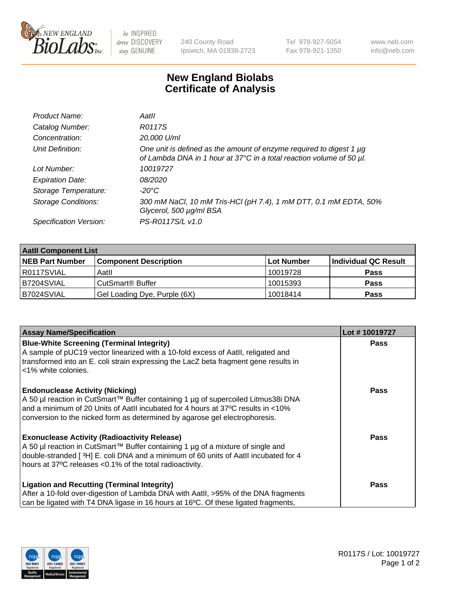

 $be$  INSPIRED drive DISCOVERY stay GENUINE

240 County Road Ipswich, MA 01938-2723 Tel 978-927-5054 Fax 978-921-1350 www.neb.com info@neb.com

## **New England Biolabs Certificate of Analysis**

| Product Name:              | Aatll                                                                                                                                       |
|----------------------------|---------------------------------------------------------------------------------------------------------------------------------------------|
| Catalog Number:            | R0117S                                                                                                                                      |
| Concentration:             | 20,000 U/ml                                                                                                                                 |
| Unit Definition:           | One unit is defined as the amount of enzyme required to digest 1 µg<br>of Lambda DNA in 1 hour at 37°C in a total reaction volume of 50 µl. |
| Lot Number:                | 10019727                                                                                                                                    |
| <b>Expiration Date:</b>    | 08/2020                                                                                                                                     |
| Storage Temperature:       | -20°C                                                                                                                                       |
| <b>Storage Conditions:</b> | 300 mM NaCl, 10 mM Tris-HCl (pH 7.4), 1 mM DTT, 0.1 mM EDTA, 50%<br>Glycerol, 500 µg/ml BSA                                                 |
| Specification Version:     | PS-R0117S/L v1.0                                                                                                                            |

| <b>Aatll Component List</b> |                              |            |                      |  |  |
|-----------------------------|------------------------------|------------|----------------------|--|--|
| <b>NEB Part Number</b>      | <b>Component Description</b> | Lot Number | Individual QC Result |  |  |
| R0117SVIAL                  | Aatll                        | 10019728   | <b>Pass</b>          |  |  |
| B7204SVIAL                  | CutSmart <sup>®</sup> Buffer | 10015393   | <b>Pass</b>          |  |  |
| B7024SVIAL                  | Gel Loading Dye, Purple (6X) | 10018414   | <b>Pass</b>          |  |  |

| <b>Assay Name/Specification</b>                                                              | Lot #10019727 |
|----------------------------------------------------------------------------------------------|---------------|
| <b>Blue-White Screening (Terminal Integrity)</b>                                             | <b>Pass</b>   |
| A sample of pUC19 vector linearized with a 10-fold excess of Aatll, religated and            |               |
| transformed into an E. coli strain expressing the LacZ beta fragment gene results in         |               |
| <1% white colonies.                                                                          |               |
| <b>Endonuclease Activity (Nicking)</b>                                                       | <b>Pass</b>   |
| A 50 µl reaction in CutSmart™ Buffer containing 1 µg of supercoiled Litmus38i DNA            |               |
| and a minimum of 20 Units of AatII incubated for 4 hours at 37°C results in <10%             |               |
| conversion to the nicked form as determined by agarose gel electrophoresis.                  |               |
| <b>Exonuclease Activity (Radioactivity Release)</b>                                          | Pass          |
| A 50 µl reaction in CutSmart™ Buffer containing 1 µg of a mixture of single and              |               |
| double-stranded [3H] E. coli DNA and a minimum of 60 units of Aatll incubated for 4          |               |
| hours at 37°C releases <0.1% of the total radioactivity.                                     |               |
| <b>Ligation and Recutting (Terminal Integrity)</b>                                           | <b>Pass</b>   |
| After a 10-fold over-digestion of Lambda DNA with AatII, >95% of the DNA fragments           |               |
| can be ligated with T4 DNA ligase in 16 hours at 16 $\degree$ C. Of these ligated fragments, |               |